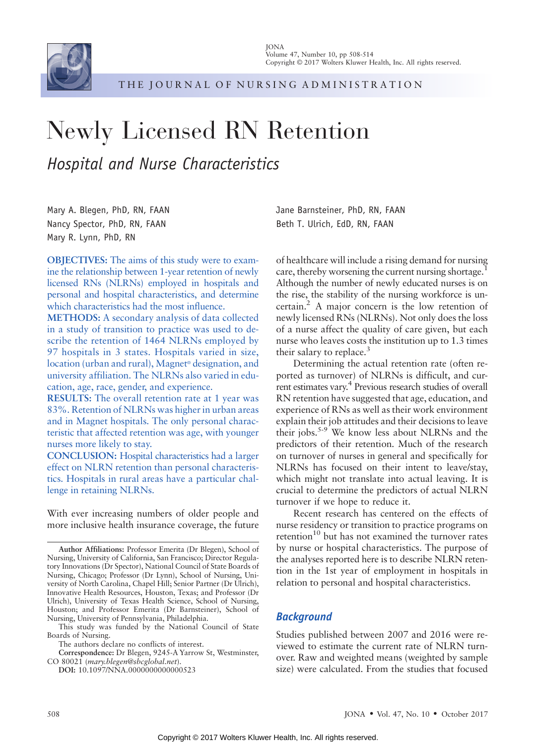

THE JOURNAL OF NURSING ADMINISTRATION

# Newly Licensed RN Retention Hospital and Nurse Characteristics

Mary A. Blegen, PhD, RN, FAAN Nancy Spector, PhD, RN, FAAN Mary R. Lynn, PhD, RN

OBJECTIVES: The aims of this study were to examine the relationship between 1-year retention of newly licensed RNs (NLRNs) employed in hospitals and personal and hospital characteristics, and determine which characteristics had the most influence.

METHODS: A secondary analysis of data collected in a study of transition to practice was used to describe the retention of 1464 NLRNs employed by 97 hospitals in 3 states. Hospitals varied in size, location (urban and rural), Magnet<sup>®</sup> designation, and university affiliation. The NLRNs also varied in education, age, race, gender, and experience.

RESULTS: The overall retention rate at 1 year was 83%. Retention of NLRNs was higher in urban areas and in Magnet hospitals. The only personal characteristic that affected retention was age, with younger nurses more likely to stay.

CONCLUSION: Hospital characteristics had a larger effect on NLRN retention than personal characteristics. Hospitals in rural areas have a particular challenge in retaining NLRNs.

With ever increasing numbers of older people and more inclusive health insurance coverage, the future

This study was funded by the National Council of State Boards of Nursing.

Correspondence: Dr Blegen, 9245-A Yarrow St, Westminster, CO 80021 (mary.blegen@sbcglobal.net).

DOI: 10.1097/NNA.0000000000000523

Jane Barnsteiner, PhD, RN, FAAN Beth T. Ulrich, EdD, RN, FAAN

of healthcare will include a rising demand for nursing care, thereby worsening the current nursing shortage.<sup>1</sup> Although the number of newly educated nurses is on the rise, the stability of the nursing workforce is uncertain.2 A major concern is the low retention of newly licensed RNs (NLRNs). Not only does the loss of a nurse affect the quality of care given, but each nurse who leaves costs the institution up to 1.3 times their salary to replace.<sup>3</sup>

Determining the actual retention rate (often reported as turnover) of NLRNs is difficult, and current estimates vary.4 Previous research studies of overall RN retention have suggested that age, education, and experience of RNs as well as their work environment explain their job attitudes and their decisions to leave their jobs.<sup>5-9</sup> We know less about NLRNs and the predictors of their retention. Much of the research on turnover of nurses in general and specifically for NLRNs has focused on their intent to leave/stay, which might not translate into actual leaving. It is crucial to determine the predictors of actual NLRN turnover if we hope to reduce it.

Recent research has centered on the effects of nurse residency or transition to practice programs on retention $10$  but has not examined the turnover rates by nurse or hospital characteristics. The purpose of the analyses reported here is to describe NLRN retention in the 1st year of employment in hospitals in relation to personal and hospital characteristics.

# **Background**

Studies published between 2007 and 2016 were reviewed to estimate the current rate of NLRN turnover. Raw and weighted means (weighted by sample size) were calculated. From the studies that focused

Author Affiliations: Professor Emerita (Dr Blegen), School of Nursing, University of California, San Francisco; Director Regulatory Innovations (Dr Spector), National Council of State Boards of Nursing, Chicago; Professor (Dr Lynn), School of Nursing, University of North Carolina, Chapel Hill; Senior Partner (Dr Ulrich), Innovative Health Resources, Houston, Texas; and Professor (Dr Ulrich), University of Texas Health Science, School of Nursing, Houston; and Professor Emerita (Dr Barnsteiner), School of Nursing, University of Pennsylvania, Philadelphia.

The authors declare no conflicts of interest.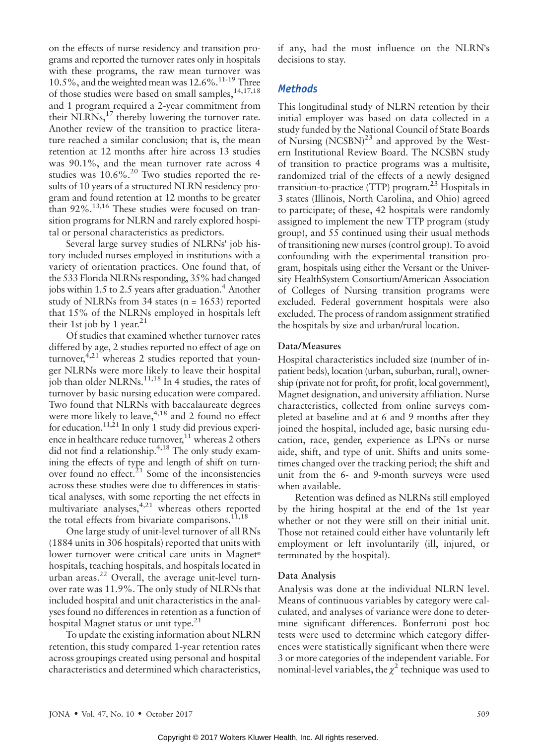on the effects of nurse residency and transition programs and reported the turnover rates only in hospitals with these programs, the raw mean turnover was 10.5%, and the weighted mean was  $12.6\%$ .<sup>11-19</sup> Three of those studies were based on small samples,<sup>14,17,18</sup> and 1 program required a 2-year commitment from their NLRNs,<sup>17</sup> thereby lowering the turnover rate. Another review of the transition to practice literature reached a similar conclusion; that is, the mean retention at 12 months after hire across 13 studies was 90.1%, and the mean turnover rate across 4 studies was  $10.6\%$ .<sup>20</sup> Two studies reported the results of 10 years of a structured NLRN residency program and found retention at 12 months to be greater than 92%.13,16 These studies were focused on transition programs for NLRN and rarely explored hospital or personal characteristics as predictors.

Several large survey studies of NLRNs" job history included nurses employed in institutions with a variety of orientation practices. One found that, of the 533 Florida NLRNs responding, 35% had changed jobs within 1.5 to 2.5 years after graduation.<sup>4</sup> Another study of NLRNs from 34 states ( $n = 1653$ ) reported that 15% of the NLRNs employed in hospitals left their 1st job by 1 year.<sup>21</sup>

Of studies that examined whether turnover rates differed by age, 2 studies reported no effect of age on turnover,  $4,21$  whereas 2 studies reported that younger NLRNs were more likely to leave their hospital job than older  $NLRNs$ <sup>11,18</sup> In 4 studies, the rates of turnover by basic nursing education were compared. Two found that NLRNs with baccalaureate degrees were more likely to leave, $4,18$  and 2 found no effect for education.<sup>11,21</sup> In only 1 study did previous experience in healthcare reduce turnover, $11$  whereas 2 others did not find a relationship.<sup>4,18</sup> The only study examining the effects of type and length of shift on turnover found no effect. $21$  Some of the inconsistencies across these studies were due to differences in statistical analyses, with some reporting the net effects in multivariate analyses,<sup>4,21</sup> whereas others reported the total effects from bivariate comparisons. $11,18$ 

One large study of unit-level turnover of all RNs (1884 units in 306 hospitals) reported that units with lower turnover were critical care units in Magnet<sup>®</sup> hospitals, teaching hospitals, and hospitals located in urban areas.<sup>22</sup> Overall, the average unit-level turnover rate was 11.9%. The only study of NLRNs that included hospital and unit characteristics in the analyses found no differences in retention as a function of hospital Magnet status or unit type. $21$ 

To update the existing information about NLRN retention, this study compared 1-year retention rates across groupings created using personal and hospital characteristics and determined which characteristics, if any, had the most influence on the NLRN"s decisions to stay.

### **Methods**

This longitudinal study of NLRN retention by their initial employer was based on data collected in a study funded by the National Council of State Boards of Nursing  $(NCSBN)^{23}$  and approved by the Western Institutional Review Board. The NCSBN study of transition to practice programs was a multisite, randomized trial of the effects of a newly designed transition-to-practice (TTP) program. $^{23}$  Hospitals in 3 states (Illinois, North Carolina, and Ohio) agreed to participate; of these, 42 hospitals were randomly assigned to implement the new TTP program (study group), and 55 continued using their usual methods of transitioning new nurses (control group). To avoid confounding with the experimental transition program, hospitals using either the Versant or the University HealthSystem Consortium/American Association of Colleges of Nursing transition programs were excluded. Federal government hospitals were also excluded. The process of random assignment stratified the hospitals by size and urban/rural location.

#### Data/Measures

Hospital characteristics included size (number of inpatient beds), location (urban, suburban, rural), ownership (private not for profit, for profit, local government), Magnet designation, and university affiliation. Nurse characteristics, collected from online surveys completed at baseline and at 6 and 9 months after they joined the hospital, included age, basic nursing education, race, gender, experience as LPNs or nurse aide, shift, and type of unit. Shifts and units sometimes changed over the tracking period; the shift and unit from the 6- and 9-month surveys were used when available.

Retention was defined as NLRNs still employed by the hiring hospital at the end of the 1st year whether or not they were still on their initial unit. Those not retained could either have voluntarily left employment or left involuntarily (ill, injured, or terminated by the hospital).

#### Data Analysis

Analysis was done at the individual NLRN level. Means of continuous variables by category were calculated, and analyses of variance were done to determine significant differences. Bonferroni post hoc tests were used to determine which category differences were statistically significant when there were 3 or more categories of the independent variable. For nominal-level variables, the  $\chi^2$  technique was used to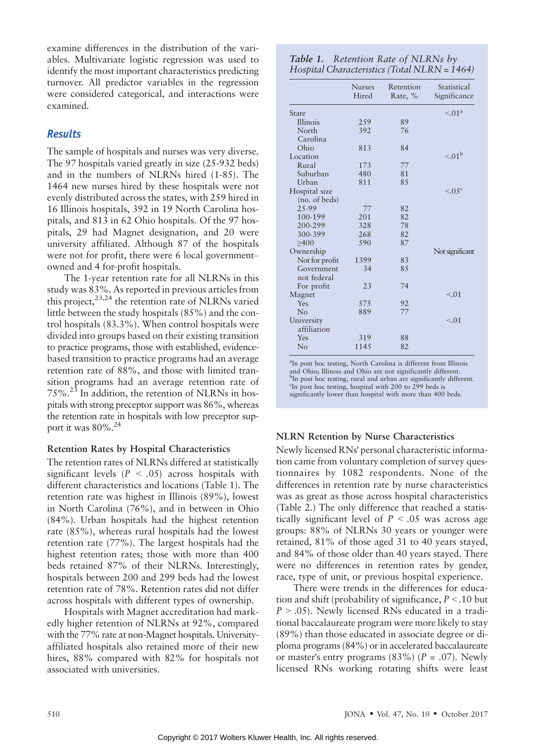examine differences in the distribution of the variables. Multivariate logistic regression was used to identify the most important characteristics predicting turnover. All predictor variables in the regression were considered categorical, and interactions were examined.

## **Results**

The sample of hospitals and nurses was very diverse. The 97 hospitals varied greatly in size (25-932 beds) and in the numbers of NLRNs hired (1-85). The 1464 new nurses hired by these hospitals were not evenly distributed across the states, with 259 hired in 16 Illinois hospitals, 392 in 19 North Carolina hospitals, and 813 in 62 Ohio hospitals. Of the 97 hospitals, 29 had Magnet designation, and 20 were university affiliated. Although 87 of the hospitals were not for profit, there were  $6$  local governmentowned and 4 for-profit hospitals.

The 1-year retention rate for all NLRNs in this study was 83%. As reported in previous articles from this project,  $2^{3,24}$  the retention rate of NLRNs varied little between the study hospitals (85%) and the control hospitals (83.3%). When control hospitals were divided into groups based on their existing transition to practice programs, those with established, evidencebased transition to practice programs had an average retention rate of 88%, and those with limited transition programs had an average retention rate of 75%.23 In addition, the retention of NLRNs in hospitals with strong preceptor support was 86%, whereas the retention rate in hospitals with low preceptor support it was  $80\%$ .<sup>24</sup>

#### Retention Rates by Hospital Characteristics

The retention rates of NLRNs differed at statistically significant levels ( $P < .05$ ) across hospitals with different characteristics and locations (Table 1). The retention rate was highest in Illinois (89%), lowest in North Carolina (76%), and in between in Ohio (84%). Urban hospitals had the highest retention rate (85%), whereas rural hospitals had the lowest retention rate (77%). The largest hospitals had the highest retention rates; those with more than 400 beds retained 87% of their NLRNs. Interestingly, hospitals between 200 and 299 beds had the lowest retention rate of 78%. Retention rates did not differ across hospitals with different types of ownership.

Hospitals with Magnet accreditation had markedly higher retention of NLRNs at 92%, compared with the 77% rate at non-Magnet hospitals. Universityaffiliated hospitals also retained more of their new hires, 88% compared with 82% for hospitals not associated with universities.

| Table 1. Retention Rate of NLRNs by          |
|----------------------------------------------|
| Hospital Characteristics (Total NLRN = 1464) |

|                           | <b>Nurses</b><br>Hired | Retention<br>Rate, % | Statistical<br>Significance |
|---------------------------|------------------------|----------------------|-----------------------------|
| State                     |                        |                      | $\leq 01^a$                 |
| Illinois                  | 2.59                   | 89                   |                             |
| North                     | 392                    | 76                   |                             |
| Carolina                  |                        |                      |                             |
| Ohio                      | 813                    | 84                   |                             |
| Location                  |                        |                      | $\leq 01^{\rm b}$           |
| Rural                     | 173                    | 77                   |                             |
| Suburban                  | 480                    | 81                   |                             |
| Urban                     | 811                    | 85                   |                             |
| Hospital size             |                        |                      | $< 0.5^{\circ}$             |
| (no. of beds)             |                        |                      |                             |
| 25-99                     | 77                     | 82                   |                             |
| 100-199                   | 201                    | 82                   |                             |
| 200-299                   | 328                    | 78                   |                             |
| 300-399                   | 268                    | 82                   |                             |
| >400                      | 590                    | 87                   |                             |
| Ownership                 |                        |                      | Not significant             |
| Not for profit            | 1399                   | 83                   |                             |
| Government<br>not federal | 34                     | 8.5                  |                             |
| For profit                | 23                     | 74                   |                             |
| Magnet                    |                        |                      | < 0.01                      |
| Yes                       | 575                    | 92                   |                             |
| No                        | 889                    | 77                   |                             |
| University<br>affiliation |                        |                      | < 0.01                      |
| Yes                       | 319                    | 88                   |                             |
| No                        | 1145                   | 82                   |                             |

a In post hoc testing, North Carolina is different from Illinois and Ohio; Illinois and Ohio are not significantly different. b In post hoc testing, rural and urban are significantly different.  $\epsilon$ In post hoc testing, hospital with 200 to 299 beds is significantly lower than hospital with more than 400 beds.

#### NLRN Retention by Nurse Characteristics

Newly licensed RNs" personal characteristic information came from voluntary completion of survey questionnaires by 1082 respondents. None of the differences in retention rate by nurse characteristics was as great as those across hospital characteristics (Table 2.) The only difference that reached a statistically significant level of  $P < .05$  was across age groups: 88% of NLRNs 30 years or younger were retained, 81% of those aged 31 to 40 years stayed, and 84% of those older than 40 years stayed. There were no differences in retention rates by gender, race, type of unit, or previous hospital experience.

There were trends in the differences for education and shift (probability of significance,  $P < 10$  but  $P > .05$ ). Newly licensed RNs educated in a traditional baccalaureate program were more likely to stay (89%) than those educated in associate degree or diploma programs (84%) or in accelerated baccalaureate or master's entry programs  $(83\%)$  (P = .07). Newly licensed RNs working rotating shifts were least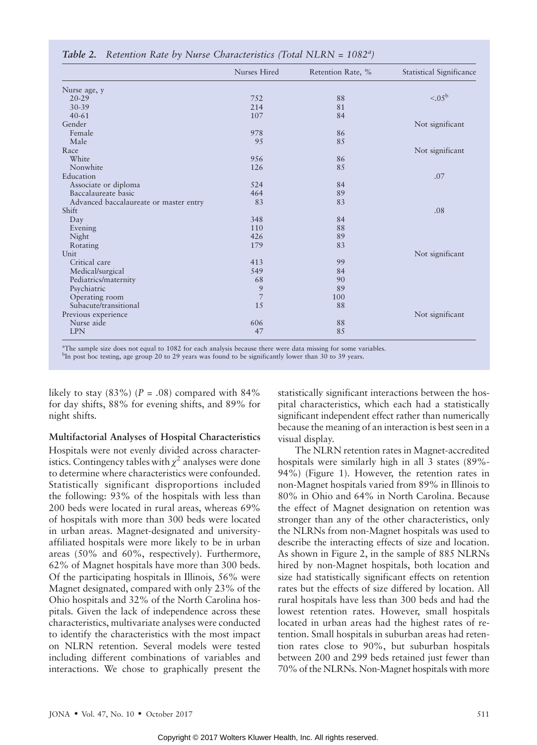|                                        | Nurses Hired | Retention Rate, % | Statistical Significance |
|----------------------------------------|--------------|-------------------|--------------------------|
| Nurse age, y                           |              |                   |                          |
| $20 - 29$                              | 752          | 88                | $< 0.05^{\rm b}$         |
| $30 - 39$                              | 214          | 81                |                          |
| $40 - 61$                              | 107          | 84                |                          |
| Gender                                 |              |                   | Not significant          |
| Female                                 | 978          | 86                |                          |
| Male                                   | 9.5          | 85                |                          |
| Race                                   |              |                   | Not significant          |
| White                                  | 9.56         | 86                |                          |
| Nonwhite                               | 126          | 85                |                          |
| Education                              |              |                   | .07                      |
| Associate or diploma                   | 524          | 84                |                          |
| Baccalaureate basic                    | 464          | 89                |                          |
| Advanced baccalaureate or master entry | 83           | 83                |                          |
| Shift                                  |              |                   | .08                      |
| Day                                    | 348          | 84                |                          |
| Evening                                | 110          | 88                |                          |
| Night                                  | 426          | 89                |                          |
| Rotating                               | 179          | 83                |                          |
| Unit                                   |              |                   | Not significant          |
| Critical care                          | 413          | 99                |                          |
| Medical/surgical                       | 549          | 84                |                          |
| Pediatrics/maternity                   | 68           | 90                |                          |
| Psychiatric                            | 9            | 89                |                          |
| Operating room                         | 7            | 100               |                          |
| Subacute/transitional                  | 15           | 88                |                          |
| Previous experience                    |              |                   | Not significant          |
| Nurse aide                             | 606          | 88                |                          |
| <b>LPN</b>                             | 47           | 85                |                          |

# Table 2. Retention Rate by Nurse Characteristics (Total NLRN =  $1082<sup>a</sup>$ )

a The sample size does not equal to 1082 for each analysis because there were data missing for some variables.

<sup>b</sup>In post hoc testing, age group 20 to 29 years was found to be significantly lower than 30 to 39 years.

likely to stay  $(83\%)$  (P = .08) compared with 84% for day shifts, 88% for evening shifts, and 89% for night shifts.

Multifactorial Analyses of Hospital Characteristics Hospitals were not evenly divided across characteristics. Contingency tables with  $\chi^2$  analyses were done to determine where characteristics were confounded. Statistically significant disproportions included the following: 93% of the hospitals with less than 200 beds were located in rural areas, whereas 69% of hospitals with more than 300 beds were located in urban areas. Magnet-designated and universityaffiliated hospitals were more likely to be in urban areas (50% and 60%, respectively). Furthermore, 62% of Magnet hospitals have more than 300 beds. Of the participating hospitals in Illinois, 56% were Magnet designated, compared with only 23% of the Ohio hospitals and 32% of the North Carolina hospitals. Given the lack of independence across these characteristics, multivariate analyses were conducted to identify the characteristics with the most impact on NLRN retention. Several models were tested including different combinations of variables and interactions. We chose to graphically present the statistically significant interactions between the hospital characteristics, which each had a statistically significant independent effect rather than numerically because the meaning of an interaction is best seen in a visual display.

The NLRN retention rates in Magnet-accredited hospitals were similarly high in all 3 states (89%- 94%) (Figure 1). However, the retention rates in non-Magnet hospitals varied from 89% in Illinois to 80% in Ohio and 64% in North Carolina. Because the effect of Magnet designation on retention was stronger than any of the other characteristics, only the NLRNs from non-Magnet hospitals was used to describe the interacting effects of size and location. As shown in Figure 2, in the sample of 885 NLRNs hired by non-Magnet hospitals, both location and size had statistically significant effects on retention rates but the effects of size differed by location. All rural hospitals have less than 300 beds and had the lowest retention rates. However, small hospitals located in urban areas had the highest rates of retention. Small hospitals in suburban areas had retention rates close to 90%, but suburban hospitals between 200 and 299 beds retained just fewer than 70% of the NLRNs. Non-Magnet hospitals with more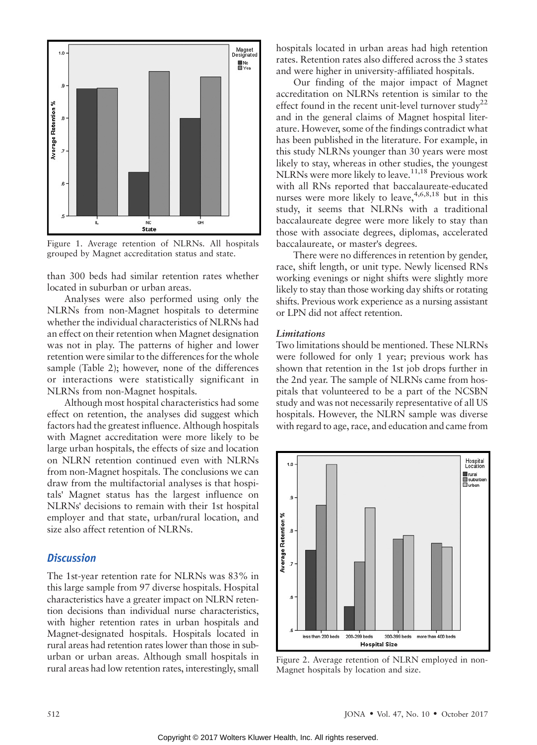

Figure 1. Average retention of NLRNs. All hospitals grouped by Magnet accreditation status and state.

than 300 beds had similar retention rates whether located in suburban or urban areas.

Analyses were also performed using only the NLRNs from non-Magnet hospitals to determine whether the individual characteristics of NLRNs had an effect on their retention when Magnet designation was not in play. The patterns of higher and lower retention were similar to the differences for the whole sample (Table 2); however, none of the differences or interactions were statistically significant in NLRNs from non-Magnet hospitals.

Although most hospital characteristics had some effect on retention, the analyses did suggest which factors had the greatest influence. Although hospitals with Magnet accreditation were more likely to be large urban hospitals, the effects of size and location on NLRN retention continued even with NLRNs from non-Magnet hospitals. The conclusions we can draw from the multifactorial analyses is that hospitals" Magnet status has the largest influence on NLRNs" decisions to remain with their 1st hospital employer and that state, urban/rural location, and size also affect retention of NLRNs.

#### **Discussion**

The 1st-year retention rate for NLRNs was 83% in this large sample from 97 diverse hospitals. Hospital characteristics have a greater impact on NLRN retention decisions than individual nurse characteristics, with higher retention rates in urban hospitals and Magnet-designated hospitals. Hospitals located in rural areas had retention rates lower than those in suburban or urban areas. Although small hospitals in rural areas had low retention rates, interestingly, small hospitals located in urban areas had high retention rates. Retention rates also differed across the 3 states and were higher in university-affiliated hospitals.

Our finding of the major impact of Magnet accreditation on NLRNs retention is similar to the effect found in the recent unit-level turnover study<sup>22</sup> and in the general claims of Magnet hospital literature. However, some of the findings contradict what has been published in the literature. For example, in this study NLRNs younger than 30 years were most likely to stay, whereas in other studies, the youngest NLRNs were more likely to leave.<sup>11,18</sup> Previous work with all RNs reported that baccalaureate-educated nurses were more likely to leave,  $4,6,8,18$  but in this study, it seems that NLRNs with a traditional baccalaureate degree were more likely to stay than those with associate degrees, diplomas, accelerated baccalaureate, or master"s degrees.

There were no differences in retention by gender, race, shift length, or unit type. Newly licensed RNs working evenings or night shifts were slightly more likely to stay than those working day shifts or rotating shifts. Previous work experience as a nursing assistant or LPN did not affect retention.

#### Limitations

Two limitations should be mentioned. These NLRNs were followed for only 1 year; previous work has shown that retention in the 1st job drops further in the 2nd year. The sample of NLRNs came from hospitals that volunteered to be a part of the NCSBN study and was not necessarily representative of all US hospitals. However, the NLRN sample was diverse with regard to age, race, and education and came from



Figure 2. Average retention of NLRN employed in non-Magnet hospitals by location and size.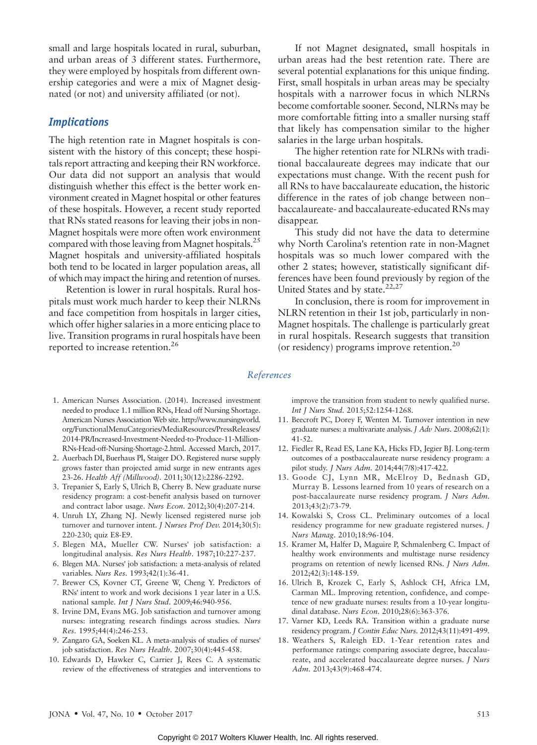small and large hospitals located in rural, suburban, and urban areas of 3 different states. Furthermore, they were employed by hospitals from different ownership categories and were a mix of Magnet designated (or not) and university affiliated (or not).

#### **Implications**

The high retention rate in Magnet hospitals is consistent with the history of this concept; these hospitals report attracting and keeping their RN workforce. Our data did not support an analysis that would distinguish whether this effect is the better work environment created in Magnet hospital or other features of these hospitals. However, a recent study reported that RNs stated reasons for leaving their jobs in non-Magnet hospitals were more often work environment compared with those leaving from Magnet hospitals.<sup>25</sup> Magnet hospitals and university-affiliated hospitals both tend to be located in larger population areas, all of which may impact the hiring and retention of nurses.

Retention is lower in rural hospitals. Rural hospitals must work much harder to keep their NLRNs and face competition from hospitals in larger cities, which offer higher salaries in a more enticing place to live. Transition programs in rural hospitals have been reported to increase retention.<sup>26</sup>

If not Magnet designated, small hospitals in urban areas had the best retention rate. There are several potential explanations for this unique finding. First, small hospitals in urban areas may be specialty hospitals with a narrower focus in which NLRNs become comfortable sooner. Second, NLRNs may be more comfortable fitting into a smaller nursing staff that likely has compensation similar to the higher salaries in the large urban hospitals.

The higher retention rate for NLRNs with traditional baccalaureate degrees may indicate that our expectations must change. With the recent push for all RNs to have baccalaureate education, the historic difference in the rates of job change between nonbaccalaureate- and baccalaureate-educated RNs may disappear.

This study did not have the data to determine why North Carolina"s retention rate in non-Magnet hospitals was so much lower compared with the other 2 states; however, statistically significant differences have been found previously by region of the United States and by state.<sup>22,27</sup>

In conclusion, there is room for improvement in NLRN retention in their 1st job, particularly in non-Magnet hospitals. The challenge is particularly great in rural hospitals. Research suggests that transition (or residency) programs improve retention.<sup>20</sup>

#### References

- 1. American Nurses Association. (2014). Increased investment needed to produce 1.1 million RNs, Head off Nursing Shortage. American Nurses Association Web site. [http://www.nursingworld.](http://www.nursingworld.org/FunctionalMenuCategories/MediaResources/PressReleases/2014-PR/Increased-Investment-Needed-to-Produce-11-Million-RNs-Head-off-Nursing-Shortage-2.html) [org/FunctionalMenuCategories/MediaResources/PressReleases/](http://www.nursingworld.org/FunctionalMenuCategories/MediaResources/PressReleases/2014-PR/Increased-Investment-Needed-to-Produce-11-Million-RNs-Head-off-Nursing-Shortage-2.html) [2014-PR/Increased-Investment-Needed-to-Produce-11-Million-](http://www.nursingworld.org/FunctionalMenuCategories/MediaResources/PressReleases/2014-PR/Increased-Investment-Needed-to-Produce-11-Million-RNs-Head-off-Nursing-Shortage-2.html)[RNs-Head-off-Nursing-Shortage-2.html](http://www.nursingworld.org/FunctionalMenuCategories/MediaResources/PressReleases/2014-PR/Increased-Investment-Needed-to-Produce-11-Million-RNs-Head-off-Nursing-Shortage-2.html). Accessed March, 2017.
- 2. Auerbach DI, Buerhaus PI, Staiger DO. Registered nurse supply grows faster than projected amid surge in new entrants ages 23-26. Health Aff (Millwood). 2011;30(12):2286-2292.
- 3. Trepanier S, Early S, Ulrich B, Cherry B. New graduate nurse residency program: a cost-benefit analysis based on turnover and contract labor usage. Nurs Econ. 2012;30(4):207-214.
- 4. Unruh LY, Zhang NJ. Newly licensed registered nurse job turnover and turnover intent. *J Nurses Prof Dev.* 2014;30(5): 220-230; quiz E8-E9.
- 5. Blegen MA, Mueller CW. Nurses" job satisfaction: a longitudinal analysis. Res Nurs Health. 1987;10:227-237.
- 6. Blegen MA. Nurses" job satisfaction: a meta-analysis of related variables. Nurs Res. 1993;42(1):36-41.
- 7. Brewer CS, Kovner CT, Greene W, Cheng Y. Predictors of RNs" intent to work and work decisions 1 year later in a U.S. national sample. Int J Nurs Stud. 2009;46:940-956.
- 8. Irvine DM, Evans MG. Job satisfaction and turnover among nurses: integrating research findings across studies. Nurs Res. 1995;44(4):246-253.
- 9. Zangaro GA, Soeken KL. A meta-analysis of studies of nurses" job satisfaction. Res Nurs Health. 2007;30(4):445-458.
- 10. Edwards D, Hawker C, Carrier J, Rees C. A systematic review of the effectiveness of strategies and interventions to

improve the transition from student to newly qualified nurse. Int J Nurs Stud. 2015;52:1254-1268.

- 11. Beecroft PC, Dorey F, Wenten M. Turnover intention in new graduate nurses: a multivariate analysis. J Adv Nurs. 2008;62(1): 41-52.
- 12. Fiedler R, Read ES, Lane KA, Hicks FD, Jegier BJ. Long-term outcomes of a postbaccalaureate nurse residency program: a pilot study. J Nurs Adm. 2014;44(7/8):417-422.
- 13. Goode CJ, Lynn MR, McElroy D, Bednash GD, Murray B. Lessons learned from 10 years of research on a post-baccalaureate nurse residency program. J Nurs Adm. 2013;43(2):73-79.
- 14. Kowalski S, Cross CL. Preliminary outcomes of a local residency programme for new graduate registered nurses. J Nurs Manag. 2010;18:96-104.
- 15. Kramer M, Halfer D, Maguire P, Schmalenberg C. Impact of healthy work environments and multistage nurse residency programs on retention of newly licensed RNs. J Nurs Adm. 2012;42(3):148-159.
- 16. Ulrich B, Krozek C, Early S, Ashlock CH, Africa LM, Carman ML. Improving retention, confidence, and competence of new graduate nurses: results from a 10-year longitudinal database. Nurs Econ. 2010;28(6):363-376.
- 17. Varner KD, Leeds RA. Transition within a graduate nurse residency program. J Contin Educ Nurs. 2012;43(11):491-499.
- 18. Weathers S, Raleigh ED. 1-Year retention rates and performance ratings: comparing associate degree, baccalaureate, and accelerated baccalaureate degree nurses. J Nurs Adm. 2013;43(9):468-474.